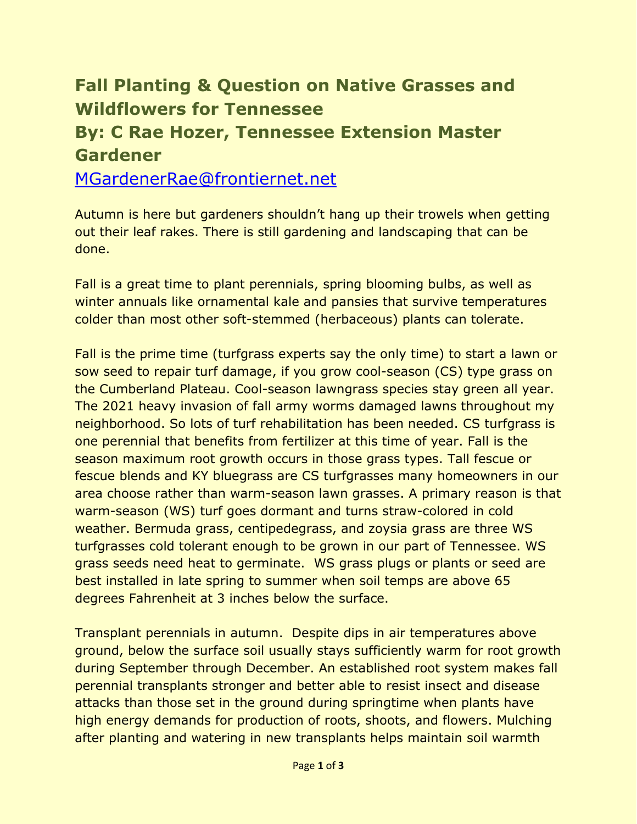## **Fall Planting & Question on Native Grasses and Wildflowers for Tennessee**

## **By: C Rae Hozer, Tennessee Extension Master Gardener**

[MGardenerRae@frontiernet.net](mailto:MGardenerRae@frontiernet.net)

Autumn is here but gardeners shouldn't hang up their trowels when getting out their leaf rakes. There is still gardening and landscaping that can be done.

Fall is a great time to plant perennials, spring blooming bulbs, as well as winter annuals like ornamental kale and pansies that survive temperatures colder than most other soft-stemmed (herbaceous) plants can tolerate.

Fall is the prime time (turfgrass experts say the only time) to start a lawn or sow seed to repair turf damage, if you grow cool-season (CS) type grass on the Cumberland Plateau. Cool-season lawngrass species stay green all year. The 2021 heavy invasion of fall army worms damaged lawns throughout my neighborhood. So lots of turf rehabilitation has been needed. CS turfgrass is one perennial that benefits from fertilizer at this time of year. Fall is the season maximum root growth occurs in those grass types. Tall fescue or fescue blends and KY bluegrass are CS turfgrasses many homeowners in our area choose rather than warm-season lawn grasses. A primary reason is that warm-season (WS) turf goes dormant and turns straw-colored in cold weather. Bermuda grass, centipedegrass, and zoysia grass are three WS turfgrasses cold tolerant enough to be grown in our part of Tennessee. WS grass seeds need heat to germinate. WS grass plugs or plants or seed are best installed in late spring to summer when soil temps are above 65 degrees Fahrenheit at 3 inches below the surface.

Transplant perennials in autumn. Despite dips in air temperatures above ground, below the surface soil usually stays sufficiently warm for root growth during September through December. An established root system makes fall perennial transplants stronger and better able to resist insect and disease attacks than those set in the ground during springtime when plants have high energy demands for production of roots, shoots, and flowers. Mulching after planting and watering in new transplants helps maintain soil warmth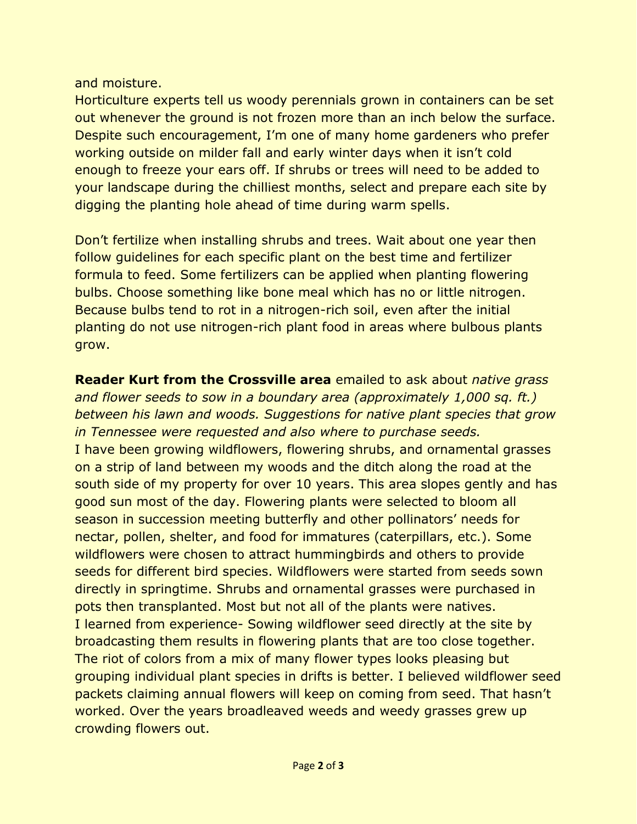## and moisture.

Horticulture experts tell us woody perennials grown in containers can be set out whenever the ground is not frozen more than an inch below the surface. Despite such encouragement, I'm one of many home gardeners who prefer working outside on milder fall and early winter days when it isn't cold enough to freeze your ears off. If shrubs or trees will need to be added to your landscape during the chilliest months, select and prepare each site by digging the planting hole ahead of time during warm spells.

Don't fertilize when installing shrubs and trees. Wait about one year then follow guidelines for each specific plant on the best time and fertilizer formula to feed. Some fertilizers can be applied when planting flowering bulbs. Choose something like bone meal which has no or little nitrogen. Because bulbs tend to rot in a nitrogen-rich soil, even after the initial planting do not use nitrogen-rich plant food in areas where bulbous plants grow.

**Reader Kurt from the Crossville area** emailed to ask about *native grass and flower seeds to sow in a boundary area (approximately 1,000 sq. ft.) between his lawn and woods. Suggestions for native plant species that grow in Tennessee were requested and also where to purchase seeds.* I have been growing wildflowers, flowering shrubs, and ornamental grasses on a strip of land between my woods and the ditch along the road at the south side of my property for over 10 years. This area slopes gently and has good sun most of the day. Flowering plants were selected to bloom all season in succession meeting butterfly and other pollinators' needs for nectar, pollen, shelter, and food for immatures (caterpillars, etc.). Some wildflowers were chosen to attract hummingbirds and others to provide seeds for different bird species. Wildflowers were started from seeds sown directly in springtime. Shrubs and ornamental grasses were purchased in pots then transplanted. Most but not all of the plants were natives. I learned from experience- Sowing wildflower seed directly at the site by broadcasting them results in flowering plants that are too close together. The riot of colors from a mix of many flower types looks pleasing but grouping individual plant species in drifts is better. I believed wildflower seed packets claiming annual flowers will keep on coming from seed. That hasn't worked. Over the years broadleaved weeds and weedy grasses grew up crowding flowers out.